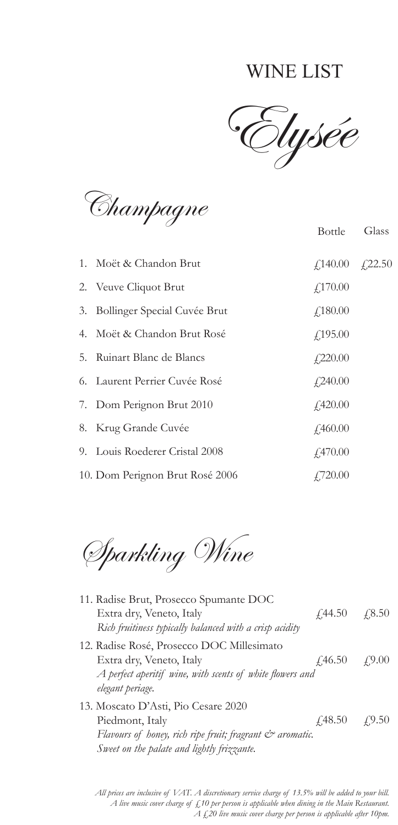## WINE LIST

Elysée

Bottle Glass

Champagne

| 1. Moët & Chandon Brut          | $\textcolor{blue}{f,140.00} \quad \textcolor{blue}{f,22.50}$ |  |
|---------------------------------|--------------------------------------------------------------|--|
| 2. Veuve Cliquot Brut           | f,170.00                                                     |  |
| 3. Bollinger Special Cuvée Brut | $f$ 180.00                                                   |  |
| 4. Moët & Chandon Brut Rosé     | $f$ ,195.00                                                  |  |
| 5. Ruinart Blanc de Blancs      | $f$ , 220.00                                                 |  |
| 6. Laurent Perrier Cuvée Rosé   | $f$ ,240.00                                                  |  |
| 7. Dom Perignon Brut 2010       | $f$ ,420.00                                                  |  |
| 8. Krug Grande Cuvée            | f460.00                                                      |  |
| 9. Louis Roederer Cristal 2008  | f470.00                                                      |  |
| 10. Dom Perignon Brut Rosé 2006 | $\angle 720.00$                                              |  |

Sparkling Wine

| 11. Radise Brut, Prosecco Spumante DOC<br>Extra dry, Veneto, Italy<br>Rich fruitiness typically balanced with a crisp acidity                                                  | $\angle 44.50$                     | $\sqrt{.8.50}$ |
|--------------------------------------------------------------------------------------------------------------------------------------------------------------------------------|------------------------------------|----------------|
| 12. Radise Rosé, Prosecco DOC Millesimato<br>Extra dry, Veneto, Italy<br>A perfect aperitif wine, with scents of white flowers and<br>elegant periage.                         | $\angle 46.50$                     | 49.00          |
| 13. Moscato D'Asti, Pio Cesare 2020<br>Piedmont, Italy<br>Flavours of honey, rich ripe fruit; fragrant $\mathcal{C}^*$ aromatic.<br>Sweet on the palate and lightly frizzante. | $\angle(48.50) \quad \angle(9.50)$ |                |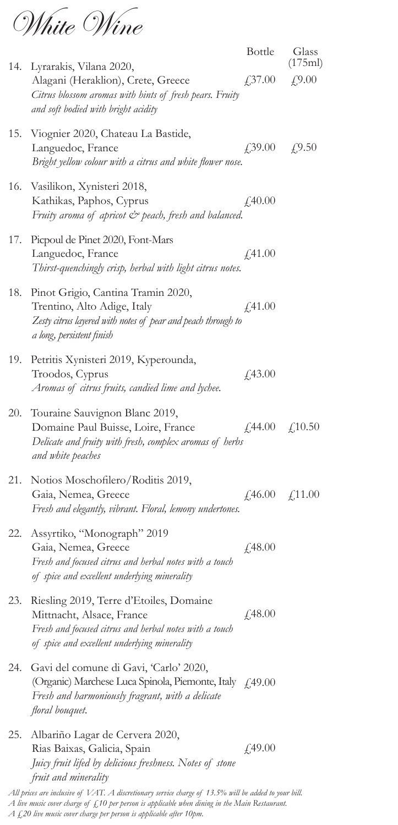White Wine

|     | 14. Lyrarakis, Vilana 2020,                                                                                                                                                    | Bottle                                                     | Glass<br>(175ml)                                            |
|-----|--------------------------------------------------------------------------------------------------------------------------------------------------------------------------------|------------------------------------------------------------|-------------------------------------------------------------|
|     | Alagani (Heraklion), Crete, Greece<br>Citrus blossom aromas with hints of fresh pears. Fruity<br>and soft bodied with bright acidity                                           | $\sqrt{37.00}$                                             | f(9.00)                                                     |
|     | 15. Viognier 2020, Chateau La Bastide,<br>Languedoc, France<br>Bright yellow colour with a citrus and white flower nose.                                                       | $\textcolor{blue}{f,39.00} \quad \textcolor{blue}{f,9.50}$ |                                                             |
|     | 16. Vasilikon, Xynisteri 2018,<br>Kathikas, Paphos, Cyprus<br>Fruity aroma of apricot & peach, fresh and balanced.                                                             | £40.00                                                     |                                                             |
| 17. | Picpoul de Pinet 2020, Font-Mars<br>Languedoc, France<br>Thirst-quenchingly crisp, herbal with light citrus notes.                                                             | f41.00                                                     |                                                             |
| 18. | Pinot Grigio, Cantina Tramin 2020,<br>Trentino, Alto Adige, Italy<br>Zesty citrus layered with notes of pear and peach through to<br>a long, persistent finish                 | $f$ ,41.00                                                 |                                                             |
| 19. | Petritis Xynisteri 2019, Kyperounda,<br>Troodos, Cyprus<br>Aromas of citrus fruits, candied lime and lychee.                                                                   | £43.00                                                     |                                                             |
| 20. | Touraine Sauvignon Blanc 2019,<br>Domaine Paul Buisse, Loire, France<br>Delicate and fruity with fresh, complex aromas of herbs<br>and white peaches                           | $\angle 44.00$                                             | $\angle 10.50$                                              |
|     | 21. Notios Moschofilero/Roditis 2019,<br>Gaia, Nemea, Greece<br>Fresh and elegantly, vibrant. Floral, lemony undertones.                                                       |                                                            | $\text{\textsterling}46.00 \quad \text{\textsterling}11.00$ |
| 22. | Assyrtiko, "Monograph" 2019<br>Gaia, Nemea, Greece<br>Fresh and focused citrus and herbal notes with a touch<br>of spice and excellent underlying minerality                   | £48.00                                                     |                                                             |
| 23. | Riesling 2019, Terre d'Etoiles, Domaine<br>Mittnacht, Alsace, France<br>Fresh and focused citrus and herbal notes with a touch<br>of spice and excellent underlying minerality | f48.00                                                     |                                                             |
| 24. | Gavi del comune di Gavi, 'Carlo' 2020,<br>(Organic) Marchese Luca Spinola, Piemonte, Italy (49.00<br>Fresh and harmoniously fragrant, with a delicate<br>floral bouquet.       |                                                            |                                                             |
| 25. | Albariño Lagar de Cervera 2020,<br>Rias Baixas, Galicia, Spain<br>Juicy fruit lifed by delicious freshness. Notes of stone<br>fruit and minerality                             | f49.00                                                     |                                                             |

*All prices are inclusive of VAT. A discretionary service charge of 13.5% will be added to your bill.* 

*A £20 live music cover charge per person is applicable after 10pm.* 

*A live music cover charge of £10 per person is applicable when dining in the Main Restaurant.*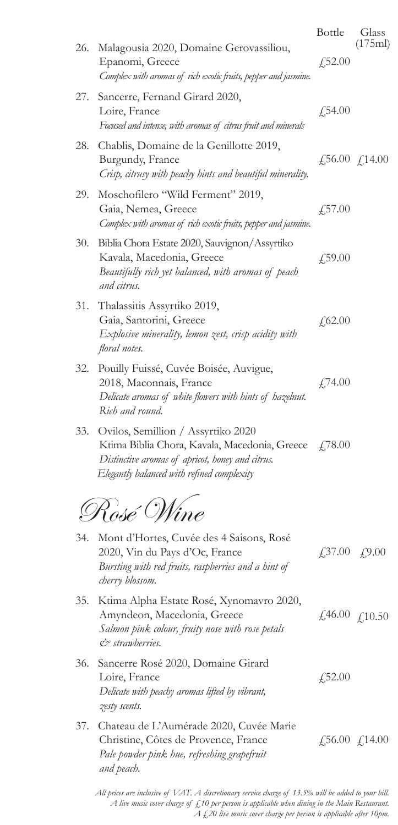|     |                                                                                                                                                                                       | Bottle                                                     | Glass                 |
|-----|---------------------------------------------------------------------------------------------------------------------------------------------------------------------------------------|------------------------------------------------------------|-----------------------|
| 26. | Malagousia 2020, Domaine Gerovassiliou,<br>Epanomi, Greece<br>Complex with aromas of rich exotic fruits, pepper and jasmine.                                                          | £,52.00                                                    | (175ml)               |
| 27. | Sancerre, Fernand Girard 2020,<br>Loire, France<br>Focused and intense, with aromas of citrus fruit and minerals                                                                      | £,54.00                                                    |                       |
| 28. | Chablis, Domaine de la Genillotte 2019,<br>Burgundy, France<br>Crisp, citrusy with peachy hints and beautiful minerality.                                                             |                                                            | £56.00 $\angle$ 14.00 |
| 29. | Moschofilero "Wild Ferment" 2019,<br>Gaia, Nemea, Greece<br>Complex with aromas of rich exotic fruits, pepper and jasmine.                                                            | $\sqrt{57.00}$                                             |                       |
| 30. | Biblia Chora Estate 2020, Sauvignon/Assyrtiko<br>Kavala, Macedonia, Greece<br>Beautifully rich yet balanced, with aromas of peach<br>and citrus.                                      | $\sqrt{.59.00}$                                            |                       |
| 31. | Thalassitis Assyrtiko 2019,<br>Gaia, Santorini, Greece<br>Explosive minerality, lemon zest, crisp acidity with<br>floral notes.                                                       | £62.00                                                     |                       |
| 32. | Pouilly Fuissé, Cuvée Boisée, Auvigue,<br>2018, Maconnais, France<br>Delicate aromas of white flowers with hints of hazelnut.<br>Rich and round.                                      | £74.00                                                     |                       |
| 33. | Ovilos, Semillion / Assyrtiko 2020<br>Ktima Biblia Chora, Kavala, Macedonia, Greece<br>Distinctive aromas of apricot, honey and citrus.<br>Elegantly balanced with refined complexity | $\angle 78.00$                                             |                       |
|     | Rosé Wine                                                                                                                                                                             |                                                            |                       |
| 34. | Mont d'Hortes, Cuvée des 4 Saisons, Rosé<br>2020, Vin du Pays d'Oc, France<br>Bursting with red fruits, raspberries and a hint of<br>cherry blossom.                                  | $\textcolor{blue}{f,37.00} \quad \textcolor{blue}{f,9.00}$ |                       |
| 35. | Ktima Alpha Estate Rosé, Xynomavro 2020,<br>Amyndeon, Macedonia, Greece<br>Salmon pink colour, fruity nose with rose petals<br>$Co$ strawberries.                                     |                                                            | £46.00 £10.50         |
| 36. | Sancerre Rosé 2020, Domaine Girard<br>Loire, France<br>Delicate with peachy aromas lifted by vibrant,<br>zesty scents.                                                                | £,52.00                                                    |                       |

37. Chateau de L'Aumérade 2020, Cuvée Marie Christine, Côtes de Provence, France *Pale powder pink hue, refreshing grapefruit and peach.* £56.00 £14.00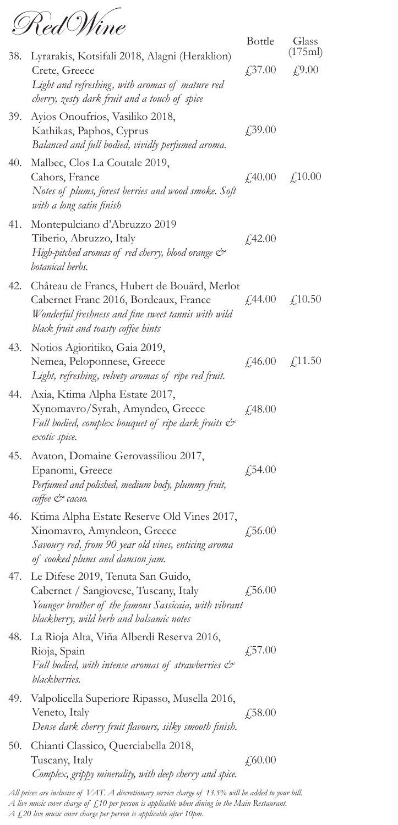RedWine

|     |                                                                                                                                                                                    | <b>Bottle</b>  | Glass<br>(175ml)                                            |
|-----|------------------------------------------------------------------------------------------------------------------------------------------------------------------------------------|----------------|-------------------------------------------------------------|
| 38. | Lyrarakis, Kotsifali 2018, Alagni (Heraklion)<br>Crete, Greece<br>Light and refreshing, with aromas of mature red<br>cherry, zesty dark fruit and a touch of spice                 | £37.00         | f(9.00)                                                     |
| 39. | Ayios Onoufrios, Vasiliko 2018,<br>Kathikas, Paphos, Cyprus<br>Balanced and full bodied, vividly perfumed aroma.                                                                   | £,39.00        |                                                             |
| 40. | Malbec, Clos La Coutale 2019,<br>Cahors, France<br>Notes of plums, forest berries and wood smoke. Soft<br>with a long satin finish                                                 |                | $\text{\textsterling}40.00 \quad \text{\textsterling}10.00$ |
| 41. | Montepulciano d'Abruzzo 2019<br>Tiberio, Abruzzo, Italy<br>High-pitched aromas of red cherry, blood orange &<br>botanical herbs.                                                   | £42.00         |                                                             |
| 42. | Château de Francs, Hubert de Bouärd, Merlot<br>Cabernet Franc 2016, Bordeaux, France<br>Wonderful freshness and fine sweet tannis with wild<br>black fruit and toasty coffee hints | $\angle 44.00$ | f(10.50)                                                    |
| 43. | Notios Agioritiko, Gaia 2019,<br>Nemea, Peloponnese, Greece<br>Light, refreshing, velvety aromas of ripe red fruit.                                                                | $\angle 46.00$ | f(11.50)                                                    |
| 44. | Axia, Ktima Alpha Estate 2017,<br>Xynomavro/Syrah, Amyndeo, Greece<br>Full bodied, complex bouquet of ripe dark fruits $\mathcal{C}^*$<br>exotic spice.                            | £48.00         |                                                             |
| 45. | Avaton, Domaine Gerovassiliou 2017,<br>Epanomi, Greece<br>Perfumed and polished, medium body, plummy fruit,<br>coffee & cacao.                                                     | £54.00         |                                                             |
| 46. | Ktima Alpha Estate Reserve Old Vines 2017,<br>Xinomavro, Amyndeon, Greece<br>Savoury red, from 90 year old vines, enticing aroma<br>of cooked plums and damson jam.                | f,56.00        |                                                             |
| 47. | Le Difese 2019, Tenuta San Guido,<br>Cabernet / Sangiovese, Tuscany, Italy<br>Younger brother of the famous Sassicaia, with vibrant<br>blackberry, wild herb and balsamic notes    | $\sqrt{56.00}$ |                                                             |
| 48. | La Rioja Alta, Viña Alberdi Reserva 2016,<br>Rioja, Spain<br>Full bodied, with intense aromas of strawberries $\mathcal{C}^*$<br>blackberries.                                     | £,57.00        |                                                             |
| 49. | Valpolicella Superiore Ripasso, Musella 2016,<br>Veneto, Italy<br>Dense dark cherry fruit flavours, silky smooth finish.                                                           | £,58.00        |                                                             |
| 50. | Chianti Classico, Querciabella 2018,<br>Tuscany, Italy<br>Complex, grippy minerality, with deep cherry and spice.                                                                  | £,60.00        |                                                             |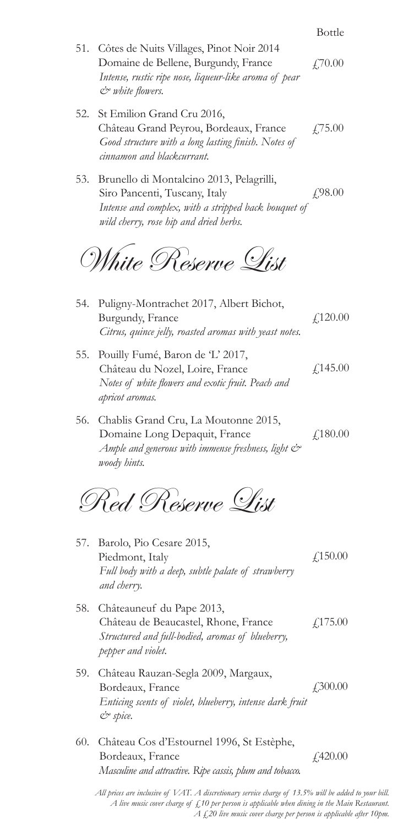|     | 51. Côtes de Nuits Villages, Pinot Noir 2014<br>Domaine de Bellene, Burgundy, France<br>Intense, rustic ripe nose, liqueur-like aroma of pear<br>$\mathcal{O}$ white flowers.   | £70.00          |
|-----|---------------------------------------------------------------------------------------------------------------------------------------------------------------------------------|-----------------|
| 52. | St Emilion Grand Cru 2016,<br>Château Grand Peyrou, Bordeaux, France<br>Good structure with a long lasting finish. Notes of<br>cinnamon and blackcurrant.                       | £75.00          |
|     | 53. Brunello di Montalcino 2013, Pelagrilli,<br>Siro Pancenti, Tuscany, Italy<br>Intense and complex, with a stripped back bouquet of<br>wild cherry, rose hip and dried herbs. | £98.00          |
|     | White Reserve List                                                                                                                                                              |                 |
| 54. | Puligny-Montrachet 2017, Albert Bichot,<br>Burgundy, France<br>Citrus, quince jelly, roasted aromas with yeast notes.                                                           | f,120.00        |
|     | 55. Pouilly Fumé, Baron de 'L' 2017,<br>Château du Nozel, Loire, France<br>Notes of white flowers and exotic fruit. Peach and<br>apricot aromas.                                | $f$ 145.00      |
|     | 56. Chablis Grand Cru, La Moutonne 2015,<br>Domaine Long Depaquit, France<br>Ample and generous with immense freshness, light $\mathcal{C}^*$<br>woody hints.                   | f,180.00        |
|     | Red Reserve List                                                                                                                                                                |                 |
| 57. | Barolo, Pio Cesare 2015,<br>Piedmont, Italy<br>Full body with a deep, subtle palate of strawberry<br>and cherry.                                                                | $f$ 150.00      |
|     | 58. Châteauneuf du Pape 2013,<br>Château de Beaucastel, Rhone, France<br>Structured and full-bodied, aromas of blueberry,<br>pepper and violet.                                 | $f$ ,175.00     |
|     | 59. Château Rauzan-Segla 2009, Margaux,<br>Bordeaux, France<br>Enticing scents of violet, blueberry, intense dark fruit<br>$e$ spice.                                           | £300.00         |
|     | 60. Château Cos d'Estournel 1996, St Estèphe,<br>Bordeaux, France<br>Masculine and attractive. Ripe cassis, plum and tobacco.                                                   | $\angle 420.00$ |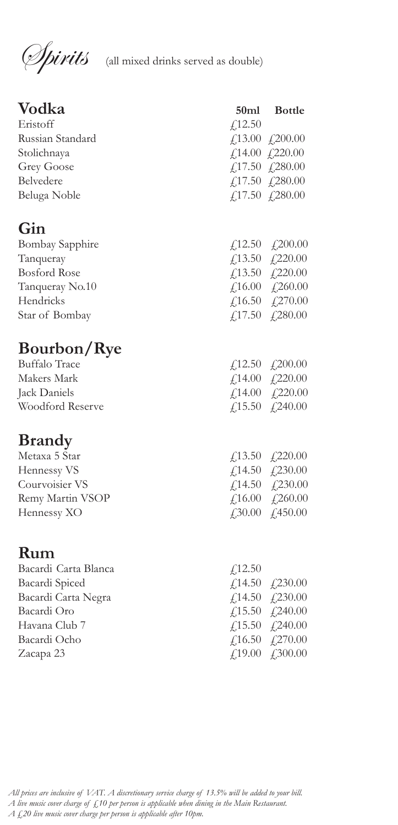**Spirits** (all mixed drinks served as double)

| Vodka<br>Eristoff      | f(12.50) | 50ml Bottle                                                  |
|------------------------|----------|--------------------------------------------------------------|
| Russian Standard       |          | $\text{\textsterling}13.00 \text{ \textsterling}200.00$      |
| Stolichnaya            |          | $\text{\textsterling}14.00 \text{\textsterling}220.00$       |
| Grey Goose             |          | £17.50 £280.00                                               |
| Belvedere              |          | $\text{\textsterling}17.50 \text{\textsterling}280.00$       |
| Beluga Noble           |          | $\text{\textsterling}17.50 \text{\textsterling}280.00$       |
| Gin                    |          |                                                              |
| <b>Bombay Sapphire</b> |          | £12.50 £,200.00                                              |
| Tanqueray              |          | $\textcolor{blue}{f,13.50} \quad \textcolor{blue}{f,220.00}$ |
| <b>Bosford Rose</b>    |          | £13.50 £220.00                                               |
| Tanqueray No.10        |          | $\text{\textsterling}16.00 \text{\textsterling}260.00$       |
| Hendricks              |          | £16.50 £270.00                                               |
| Star of Bombay         |          | $\textit{\textbf{f}}$ ,17.50 $\textit{\textbf{f}}$ ,280.00   |
| <b>Bourbon/Rye</b>     |          |                                                              |
| <b>Buffalo Trace</b>   |          | $\text{\textsterling}12.50 \text{\textsterling}200.00$       |
| Makers Mark            |          | £14.00 £220.00                                               |
| Jack Daniels           |          | $\text{\textsterling}14.00 \quad \text{\textsterling}220.00$ |
| Woodford Reserve       |          | $\textcolor{blue}{f,15.50} \quad \textcolor{blue}{f,240.00}$ |
| <b>Brandy</b>          |          |                                                              |
| Metaxa 5 Star          |          | £13.50 £220.00                                               |
| Hennessy VS            |          | $\text{\textsterling}14.50 \text{\textsterling}230.00$       |
| Courvoisier VS         |          | £14.50 £230.00                                               |
| Remy Martin VSOP       |          | $\text{\textsterling}16.00 \text{\textsterling}260.00$       |
| Hennessy XO            |          | $\textcolor{blue}{f30.00} \quad \textcolor{blue}{f30.00}$    |
| Rum                    |          |                                                              |
| Bacardi Carta Blanca   |          |                                                              |
| Bacardi Spiced         | f(12.50) | £14.50 £230.00                                               |
| Bacardi Carta Negra    |          | $\text{\textsterling}14.50 \text{\textsterling}230.00$       |
| Bacardi Oro            |          | £,15.50 £,240.00                                             |
| Havana Club 7          |          | £15.50 £240.00                                               |
| Bacardi Ocho           |          | £16.50 £270.00                                               |
| Zacapa 23              |          | £,19.00 £300.00                                              |
|                        |          |                                                              |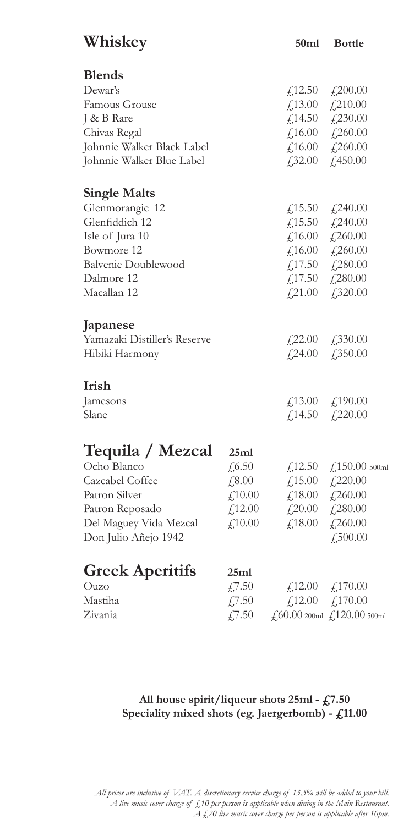| Whiskey                                                                                                                                  |                                                              | 50ml                                    | <b>Bottle</b>                                                                                                                                                                                    |
|------------------------------------------------------------------------------------------------------------------------------------------|--------------------------------------------------------------|-----------------------------------------|--------------------------------------------------------------------------------------------------------------------------------------------------------------------------------------------------|
| <b>Blends</b>                                                                                                                            |                                                              |                                         |                                                                                                                                                                                                  |
| Dewar's                                                                                                                                  |                                                              |                                         | $\textcolor{blue}{f_1}12.50 \quad \textcolor{blue}{f_2}200.00$                                                                                                                                   |
| Famous Grouse                                                                                                                            |                                                              |                                         | £13.00 £210.00                                                                                                                                                                                   |
| J & B Rare                                                                                                                               |                                                              |                                         | £14.50 £230.00                                                                                                                                                                                   |
| Chivas Regal                                                                                                                             |                                                              |                                         | $\textcolor{blue}{f,16.00} \quad \textcolor{blue}{f,260.00}$                                                                                                                                     |
| Johnnie Walker Black Label                                                                                                               |                                                              |                                         | $\angle 16.00 \quad \angle 260.00$                                                                                                                                                               |
| Johnnie Walker Blue Label                                                                                                                |                                                              |                                         | $\textcolor{blue}{f_{\textcolor{blue}{f}}}32.00 \quad \textcolor{blue}{f_{\textcolor{blue}{f}}}450.00$                                                                                           |
| <b>Single Malts</b>                                                                                                                      |                                                              |                                         |                                                                                                                                                                                                  |
| Glenmorangie 12                                                                                                                          |                                                              |                                         | £15.50 £240.00                                                                                                                                                                                   |
| Glenfiddich 12                                                                                                                           |                                                              |                                         | £15.50 £240.00                                                                                                                                                                                   |
| Isle of Jura 10                                                                                                                          |                                                              |                                         | $£16.00$ £260.00                                                                                                                                                                                 |
| Bowmore 12                                                                                                                               |                                                              |                                         | $\textcolor{red}{f_1}$ 16.00 $\textcolor{red}{f_2}$ 260.00                                                                                                                                       |
| <b>Balvenie Doublewood</b>                                                                                                               |                                                              |                                         | £17.50 £280.00                                                                                                                                                                                   |
| Dalmore 12                                                                                                                               |                                                              |                                         | $\text{\textsterling}17.50 \quad \text{\textsterling}280.00$                                                                                                                                     |
| Macallan 12                                                                                                                              |                                                              |                                         | $\textcolor{blue}{f,21.00} \quad \textcolor{blue}{f,320.00}$                                                                                                                                     |
| Japanese<br>Yamazaki Distiller's Reserve<br>Hibiki Harmony                                                                               |                                                              |                                         | $\textcolor{blue}{f,22.00} \quad \textcolor{blue}{f,330.00}$<br>$\textcolor{blue}{f,24.00} \quad \textcolor{blue}{f,350.00}$                                                                     |
| Irish                                                                                                                                    |                                                              |                                         |                                                                                                                                                                                                  |
| Jamesons                                                                                                                                 |                                                              |                                         | $\textcolor{blue}{f,13.00} \quad \textcolor{blue}{f,190.00}$                                                                                                                                     |
| Slane                                                                                                                                    |                                                              |                                         | $\textcolor{blue}{f_1}14.50 \quad \textcolor{blue}{f_2}220.00$                                                                                                                                   |
| Tequila / Mezcal<br>Ocho Blanco<br>Cazcabel Coffee<br>Patron Silver<br>Patron Reposado<br>Del Maguey Vida Mezcal<br>Don Julio Añejo 1942 | 25ml<br>£6.50<br>£,8.00<br>$f_{1}10.00$<br>£12.00<br>£,10.00 | $\textcolor{red}{f_{20.00}}$<br>f,18.00 | £12.50 £150.00 500ml<br>$\textcolor{blue}{f_1} 15.00 \quad \textcolor{blue}{f_2} 220.00$<br>$\textit{\textbf{f}}$ ,18.00 $\textit{\textbf{f}}$ ,260.00<br>$\angle 280.00$<br>£260.00<br>f,500.00 |
| <b>Greek Aperitifs</b><br>Ouzo<br>Mastiha<br>Zivania                                                                                     | 25ml<br>£7.50<br>£7.50<br>$\sqrt{7.50}$                      |                                         | $£12.00$ £170.00<br>$\text{\textsterling}12.00 \quad \text{\textsterling}170.00$<br>$\text{\textsterling}60.00$ 200ml $\text{\textsterling}120.00$ 500ml                                         |

## **All house spirit/liqueur shots 25ml - £7.50 Speciality mixed shots (eg. Jaergerbomb) - £11.00**